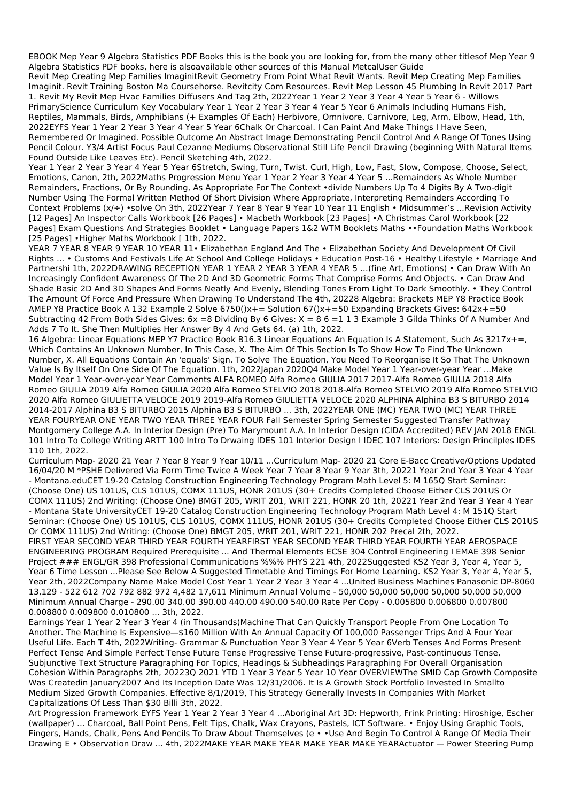EBOOK Mep Year 9 Algebra Statistics PDF Books this is the book you are looking for, from the many other titlesof Mep Year 9 Algebra Statistics PDF books, here is alsoavailable other sources of this Manual MetcalUser Guide

Revit Mep Creating Mep Families ImaginitRevit Geometry From Point What Revit Wants. Revit Mep Creating Mep Families Imaginit. Revit Training Boston Ma Coursehorse. Revitcity Com Resources. Revit Mep Lesson 45 Plumbing In Revit 2017 Part 1. Revit My Revit Mep Hvac Families Diffusers And Tag 2th, 2022Year 1 Year 2 Year 3 Year 4 Year 5 Year 6 - Willows PrimaryScience Curriculum Key Vocabulary Year 1 Year 2 Year 3 Year 4 Year 5 Year 6 Animals Including Humans Fish, Reptiles, Mammals, Birds, Amphibians (+ Examples Of Each) Herbivore, Omnivore, Carnivore, Leg, Arm, Elbow, Head, 1th, 2022EYFS Year 1 Year 2 Year 3 Year 4 Year 5 Year 6Chalk Or Charcoal. I Can Paint And Make Things I Have Seen, Remembered Or Imagined. Possible Outcome An Abstract Image Demonstrating Pencil Control And A Range Of Tones Using Pencil Colour. Y3/4 Artist Focus Paul Cezanne Mediums Observational Still Life Pencil Drawing (beginning With Natural Items Found Outside Like Leaves Etc). Pencil Sketching 4th, 2022.

Year 1 Year 2 Year 3 Year 4 Year 5 Year 6Stretch, Swing, Turn, Twist. Curl, High, Low, Fast, Slow, Compose, Choose, Select, Emotions, Canon, 2th, 2022Maths Progression Menu Year 1 Year 2 Year 3 Year 4 Year 5 ...Remainders As Whole Number Remainders, Fractions, Or By Rounding, As Appropriate For The Context •divide Numbers Up To 4 Digits By A Two-digit Number Using The Formal Written Method Of Short Division Where Appropriate, Interpreting Remainders According To Context Problems (x/÷) •solve On 3th, 2022Year 7 Year 8 Year 9 Year 10 Year 11 English • Midsummer's ...Revision Activity [12 Pages] An Inspector Calls Workbook [26 Pages] • Macbeth Workbook [23 Pages] •A Christmas Carol Workbook [22 Pages] Exam Questions And Strategies Booklet • Language Papers 1&2 WTM Booklets Maths ••Foundation Maths Workbook [25 Pages] •Higher Maths Workbook [ 1th, 2022.

YEAR 7 YEAR 8 YEAR 9 YEAR 10 YEAR 11• Elizabethan England And The • Elizabethan Society And Development Of Civil Rights ... • Customs And Festivals Life At School And College Holidays • Education Post-16 • Healthy Lifestyle • Marriage And Partnershi 1th, 2022DRAWING RECEPTION YEAR 1 YEAR 2 YEAR 3 YEAR 4 YEAR 5 …(fine Art, Emotions) • Can Draw With An Increasingly Confident Awareness Of The 2D And 3D Geometric Forms That Comprise Forms And Objects. • Can Draw And Shade Basic 2D And 3D Shapes And Forms Neatly And Evenly, Blending Tones From Light To Dark Smoothly. • They Control The Amount Of Force And Pressure When Drawing To Understand The 4th, 20228 Algebra: Brackets MEP Y8 Practice Book AMEP Y8 Practice Book A 132 Example 2 Solve 6750()x+= Solution 67()x+=50 Expanding Brackets Gives: 642x+=50 Subtracting 42 From Both Sides Gives:  $6x = 8$  Dividing By 6 Gives:  $X = 86 = 113$  Example 3 Gilda Thinks Of A Number And Adds 7 To It. She Then Multiplies Her Answer By 4 And Gets 64. (a) 1th, 2022.

16 Algebra: Linear Equations MEP Y7 Practice Book B16.3 Linear Equations An Equation Is A Statement, Such As 3217x+=, Which Contains An Unknown Number, In This Case, X. The Aim Of This Section Is To Show How To Find The Unknown Number, X. All Equations Contain An 'equals' Sign. To Solve The Equation, You Need To Reorganise It So That The Unknown Value Is By Itself On One Side Of The Equation. 1th, 2022Japan 2020Q4 Make Model Year 1 Year-over-year Year ...Make Model Year 1 Year-over-year Year Comments ALFA ROMEO Alfa Romeo GIULIA 2017 2017-Alfa Romeo GIULIA 2018 Alfa Romeo GIULIA 2019 Alfa Romeo GIULIA 2020 Alfa Romeo STELVIO 2018 2018-Alfa Romeo STELVIO 2019 Alfa Romeo STELVIO 2020 Alfa Romeo GIULIETTA VELOCE 2019 2019-Alfa Romeo GIULIETTA VELOCE 2020 ALPHINA Alphina B3 S BITURBO 2014 2014-2017 Alphina B3 S BITURBO 2015 Alphina B3 S BITURBO ... 3th, 2022YEAR ONE (MC) YEAR TWO (MC) YEAR THREE YEAR FOURYEAR ONE YEAR TWO YEAR THREE YEAR FOUR Fall Semester Spring Semester Suggested Transfer Pathway Montgomery College A.A. In Interior Design (Pre) To Marymount A.A. In Interior Design (CIDA Accredited) REV JAN 2018 ENGL 101 Intro To College Writing ARTT 100 Intro To Drwaing IDES 101 Interior Design I IDEC 107 Interiors: Design Princilples IDES 110 1th, 2022.

Curriculum Map- 2020 21 Year 7 Year 8 Year 9 Year 10/11 ...Curriculum Map- 2020 21 Core E-Bacc Creative/Options Updated 16/04/20 M \*PSHE Delivered Via Form Time Twice A Week Year 7 Year 8 Year 9 Year 3th, 20221 Year 2nd Year 3 Year 4 Year - Montana.eduCET 19-20 Catalog Construction Engineering Technology Program Math Level 5: M 165Q Start Seminar: (Choose One) US 101US, CLS 101US, COMX 111US, HONR 201US (30+ Credits Completed Choose Either CLS 201US Or COMX 111US) 2nd Writing: (Choose One) BMGT 205, WRIT 201, WRIT 221, HONR 20 1th, 20221 Year 2nd Year 3 Year 4 Year - Montana State UniversityCET 19-20 Catalog Construction Engineering Technology Program Math Level 4: M 151Q Start Seminar: (Choose One) US 101US, CLS 101US, COMX 111US, HONR 201US (30+ Credits Completed Choose Either CLS 201US Or COMX 111US) 2nd Writing: (Choose One) BMGT 205, WRIT 201, WRIT 221, HONR 202 Precal 2th, 2022. FIRST YEAR SECOND YEAR THIRD YEAR FOURTH YEARFIRST YEAR SECOND YEAR THIRD YEAR FOURTH YEAR AEROSPACE ENGINEERING PROGRAM Required Prerequisite ... And Thermal Elements ECSE 304 Control Engineering I EMAE 398 Senior Project ### ENGL/GR 398 Professional Communications %%% PHYS 221 4th, 2022Suggested KS2 Year 3, Year 4, Year 5, Year 6 Time Lesson ...Please See Below A Suggested Timetable And Timings For Home Learning. KS2 Year 3, Year 4, Year 5, Year 2th, 2022Company Name Make Model Cost Year 1 Year 2 Year 3 Year 4 ...United Business Machines Panasonic DP-8060 13,129 - 522 612 702 792 882 972 4,482 17,611 Minimum Annual Volume - 50,000 50,000 50,000 50,000 50,000 50,000 Minimum Annual Charge - 290.00 340.00 390.00 440.00 490.00 540.00 Rate Per Copy - 0.005800 0.006800 0.007800

## 0.008800 0.009800 0.010800 ... 3th, 2022.

Earnings Year 1 Year 2 Year 3 Year 4 (in Thousands)Machine That Can Quickly Transport People From One Location To Another. The Machine Is Expensive—\$160 Million With An Annual Capacity Of 100,000 Passenger Trips And A Four Year Useful Life. Each T 4th, 2022Writing- Grammar & Punctuation Year 3 Year 4 Year 5 Year 6Verb Tenses And Forms Present Perfect Tense And Simple Perfect Tense Future Tense Progressive Tense Future-progressive, Past-continuous Tense, Subjunctive Text Structure Paragraphing For Topics, Headings & Subheadings Paragraphing For Overall Organisation Cohesion Within Paragraphs 2th, 20223Q 2021 YTD 1 Year 3 Year 5 Year 10 Year OVERVIEWThe SMID Cap Growth Composite Was Createdin January2007 And Its Inception Date Was 12/31/2006. It Is A Growth Stock Portfolio Invested In Smallto Medium Sized Growth Companies. Effective 8/1/2019, This Strategy Generally Invests In Companies With Market Capitalizations Of Less Than \$30 Billi 3th, 2022.

Art Progression Framework EYFS Year 1 Year 2 Year 3 Year 4 ...Aboriginal Art 3D: Hepworth, Frink Printing: Hiroshige, Escher (wallpaper) ... Charcoal, Ball Point Pens, Felt Tips, Chalk, Wax Crayons, Pastels, ICT Software. • Enjoy Using Graphic Tools, Fingers, Hands, Chalk, Pens And Pencils To Draw About Themselves (e • •Use And Begin To Control A Range Of Media Their Drawing E • Observation Draw ... 4th, 2022MAKE YEAR MAKE YEAR MAKE YEAR MAKE YEARActuator — Power Steering Pump